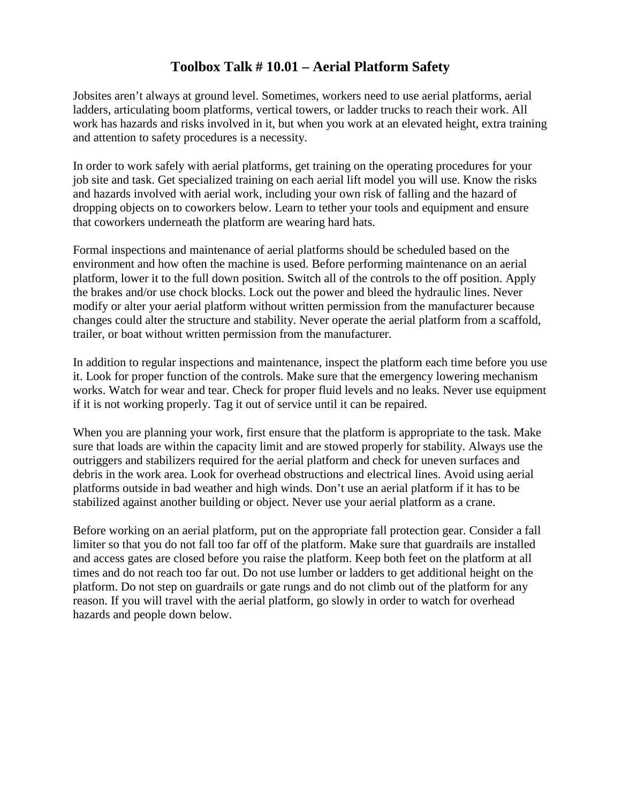## **Toolbox Talk # 10.01 – Aerial Platform Safety**

Jobsites aren't always at ground level. Sometimes, workers need to use aerial platforms, aerial ladders, articulating boom platforms, vertical towers, or ladder trucks to reach their work. All work has hazards and risks involved in it, but when you work at an elevated height, extra training and attention to safety procedures is a necessity.

In order to work safely with aerial platforms, get training on the operating procedures for your job site and task. Get specialized training on each aerial lift model you will use. Know the risks and hazards involved with aerial work, including your own risk of falling and the hazard of dropping objects on to coworkers below. Learn to tether your tools and equipment and ensure that coworkers underneath the platform are wearing hard hats.

Formal inspections and maintenance of aerial platforms should be scheduled based on the environment and how often the machine is used. Before performing maintenance on an aerial platform, lower it to the full down position. Switch all of the controls to the off position. Apply the brakes and/or use chock blocks. Lock out the power and bleed the hydraulic lines. Never modify or alter your aerial platform without written permission from the manufacturer because changes could alter the structure and stability. Never operate the aerial platform from a scaffold, trailer, or boat without written permission from the manufacturer.

In addition to regular inspections and maintenance, inspect the platform each time before you use it. Look for proper function of the controls. Make sure that the emergency lowering mechanism works. Watch for wear and tear. Check for proper fluid levels and no leaks. Never use equipment if it is not working properly. Tag it out of service until it can be repaired.

When you are planning your work, first ensure that the platform is appropriate to the task. Make sure that loads are within the capacity limit and are stowed properly for stability. Always use the outriggers and stabilizers required for the aerial platform and check for uneven surfaces and debris in the work area. Look for overhead obstructions and electrical lines. Avoid using aerial platforms outside in bad weather and high winds. Don't use an aerial platform if it has to be stabilized against another building or object. Never use your aerial platform as a crane.

Before working on an aerial platform, put on the appropriate fall protection gear. Consider a fall limiter so that you do not fall too far off of the platform. Make sure that guardrails are installed and access gates are closed before you raise the platform. Keep both feet on the platform at all times and do not reach too far out. Do not use lumber or ladders to get additional height on the platform. Do not step on guardrails or gate rungs and do not climb out of the platform for any reason. If you will travel with the aerial platform, go slowly in order to watch for overhead hazards and people down below.